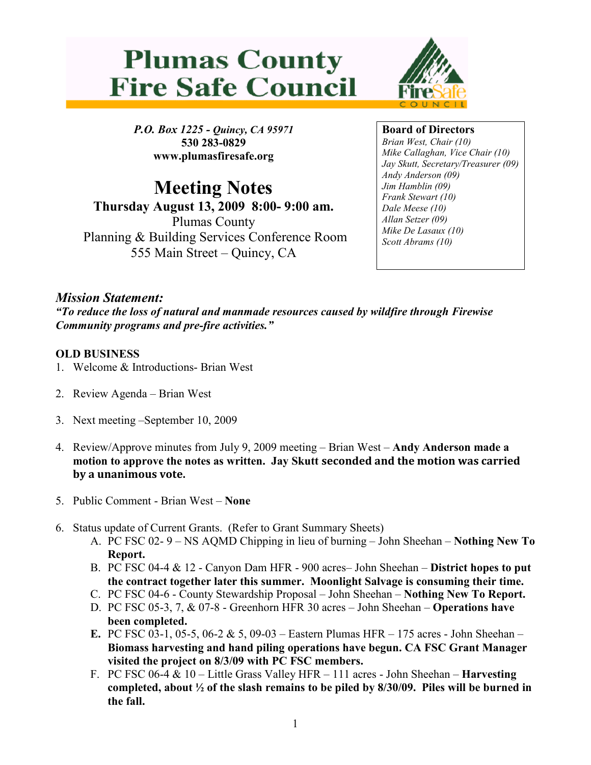



P.O. Box 1225 - Quincy, CA 95971 530 283-0829 www.plumasfiresafe.org

Meeting Notes Thursday August 13, 2009 8:00- 9:00 am. Plumas County Planning & Building Services Conference Room 555 Main Street – Quincy, CA

## Board of Directors

Brian West, Chair (10) Mike Callaghan, Vice Chair (10) Jay Skutt, Secretary/Treasurer (09) Andy Anderson (09) Jim Hamblin (09) Frank Stewart (10) Dale Meese (10) Allan Setzer (09) Mike De Lasaux (10) Scott Abrams (10)

## Mission Statement:

"To reduce the loss of natural and manmade resources caused by wildfire through Firewise Community programs and pre-fire activities."

## OLD BUSINESS

- 1. Welcome & Introductions- Brian West
- 2. Review Agenda Brian West
- 3. Next meeting –September 10, 2009
- 4. Review/Approve minutes from July 9, 2009 meeting Brian West Andy Anderson made a motion to approve the notes as written. Jay Skutt seconded and the motion was carried by a unanimous vote.
- 5. Public Comment Brian West None
- 6. Status update of Current Grants. (Refer to Grant Summary Sheets)
	- A. PC FSC 02- 9 NS AQMD Chipping in lieu of burning John Sheehan Nothing New To Report.
	- B. PC FSC 04-4 & 12 Canyon Dam HFR 900 acres– John Sheehan District hopes to put the contract together later this summer. Moonlight Salvage is consuming their time.
	- C. PC FSC 04-6 County Stewardship Proposal John Sheehan Nothing New To Report.
	- D. PC FSC 05-3, 7, & 07-8 Greenhorn HFR 30 acres John Sheehan Operations have been completed.
	- **E.** PC FSC 03-1, 05-5, 06-2 & 5, 09-03 Eastern Plumas HFR 175 acres John Sheehan Biomass harvesting and hand piling operations have begun. CA FSC Grant Manager visited the project on 8/3/09 with PC FSC members.
	- F. PC FSC 06-4 & 10 Little Grass Valley HFR 111 acres John Sheehan **Harvesting** completed, about  $\frac{1}{2}$  of the slash remains to be piled by 8/30/09. Piles will be burned in the fall.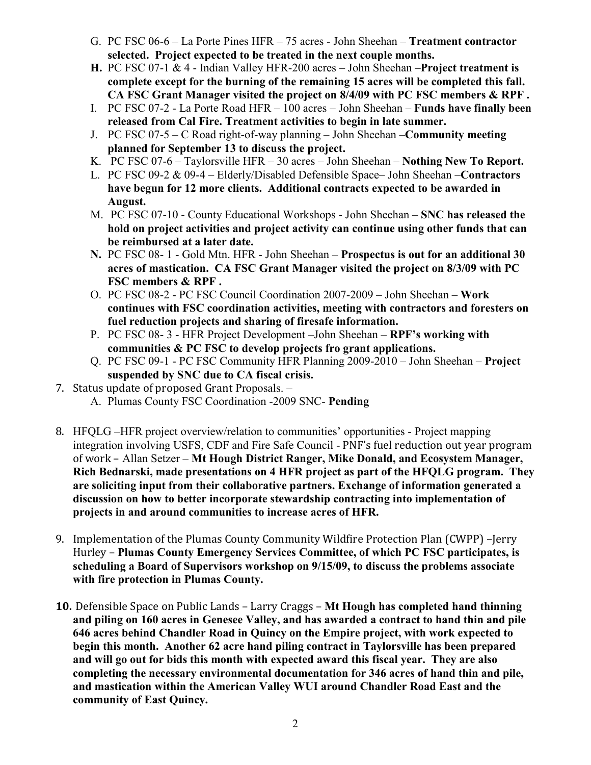- G. PC FSC 06-6 La Porte Pines HFR 75 acres John Sheehan Treatment contractor selected. Project expected to be treated in the next couple months.
- H. PC FSC 07-1 & 4 Indian Valley HFR-200 acres John Sheehan –Project treatment is complete except for the burning of the remaining 15 acres will be completed this fall. CA FSC Grant Manager visited the project on 8/4/09 with PC FSC members & RPF .
- I. PC FSC 07-2 La Porte Road HFR 100 acres John Sheehan Funds have finally been released from Cal Fire. Treatment activities to begin in late summer.
- J. PC FSC 07-5 C Road right-of-way planning John Sheehan –Community meeting planned for September 13 to discuss the project.
- K. PC FSC 07-6 Taylorsville HFR 30 acres John Sheehan Nothing New To Report.
- L. PC FSC 09-2 & 09-4 Elderly/Disabled Defensible Space– John Sheehan –Contractors have begun for 12 more clients. Additional contracts expected to be awarded in August.
- M. PC FSC 07-10 County Educational Workshops John Sheehan SNC has released the hold on project activities and project activity can continue using other funds that can be reimbursed at a later date.
- N. PC FSC 08- 1 Gold Mtn. HFR John Sheehan Prospectus is out for an additional 30 acres of mastication. CA FSC Grant Manager visited the project on 8/3/09 with PC FSC members & RPF .
- O. PC FSC 08-2 PC FSC Council Coordination 2007-2009 John Sheehan Work continues with FSC coordination activities, meeting with contractors and foresters on fuel reduction projects and sharing of firesafe information.
- P. PC FSC 08- 3 HFR Project Development –John Sheehan RPF's working with communities & PC FSC to develop projects fro grant applications.
- Q. PC FSC 09-1 PC FSC Community HFR Planning 2009-2010 John Sheehan Project suspended by SNC due to CA fiscal crisis.
- 7. Status update of proposed Grant Proposals.
	- A. Plumas County FSC Coordination -2009 SNC- Pending
- 8. HFQLG –HFR project overview/relation to communities' opportunities Project mapping integration involving USFS, CDF and Fire Safe Council - PNF's fuel reduction out year program of work – Allan Setzer – Mt Hough District Ranger, Mike Donald, and Ecosystem Manager, Rich Bednarski, made presentations on 4 HFR project as part of the HFQLG program. They are soliciting input from their collaborative partners. Exchange of information generated a discussion on how to better incorporate stewardship contracting into implementation of projects in and around communities to increase acres of HFR.
- 9. Implementation of the Plumas County Community Wildfire Protection Plan (CWPP) –Jerry Hurley – Plumas County Emergency Services Committee, of which PC FSC participates, is scheduling a Board of Supervisors workshop on 9/15/09, to discuss the problems associate with fire protection in Plumas County.
- 10. Defensible Space on Public Lands Larry Craggs Mt Hough has completed hand thinning and piling on 160 acres in Genesee Valley, and has awarded a contract to hand thin and pile 646 acres behind Chandler Road in Quincy on the Empire project, with work expected to begin this month. Another 62 acre hand piling contract in Taylorsville has been prepared and will go out for bids this month with expected award this fiscal year. They are also completing the necessary environmental documentation for 346 acres of hand thin and pile, and mastication within the American Valley WUI around Chandler Road East and the community of East Quincy.